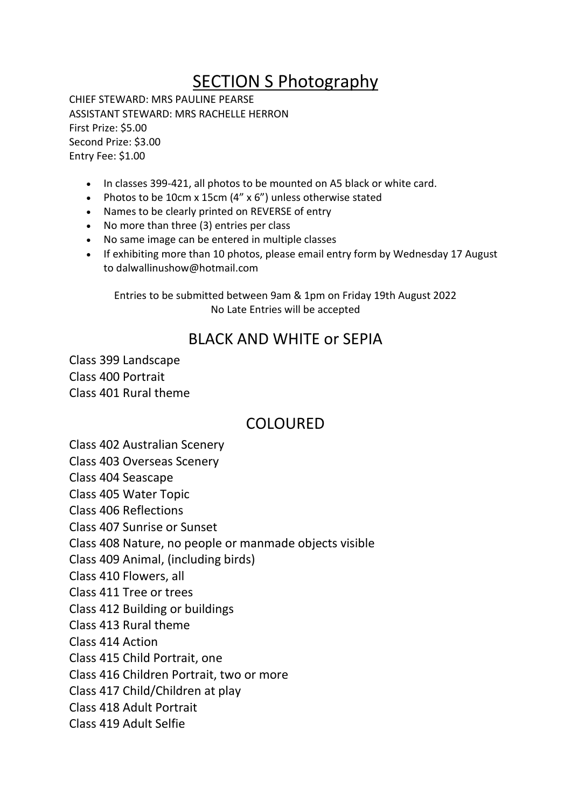# SECTION S Photography

CHIEF STEWARD: MRS PAULINE PEARSE ASSISTANT STEWARD: MRS RACHELLE HERRON First Prize: \$5.00 Second Prize: \$3.00 Entry Fee: \$1.00

- In classes 399-421, all photos to be mounted on A5 black or white card.
- Photos to be 10cm x 15cm (4" x 6") unless otherwise stated
- Names to be clearly printed on REVERSE of entry
- No more than three (3) entries per class
- No same image can be entered in multiple classes
- If exhibiting more than 10 photos, please email entry form by Wednesday 17 August to dalwallinushow@hotmail.com

Entries to be submitted between 9am & 1pm on Friday 19th August 2022 No Late Entries will be accepted

#### BLACK AND WHITE or SEPIA

Class 399 Landscape Class 400 Portrait Class 401 Rural theme

## COLOURED

Class 402 Australian Scenery

Class 403 Overseas Scenery

Class 404 Seascape

Class 405 Water Topic

Class 406 Reflections

Class 407 Sunrise or Sunset

Class 408 Nature, no people or manmade objects visible

Class 409 Animal, (including birds)

Class 410 Flowers, all

Class 411 Tree or trees

Class 412 Building or buildings

Class 413 Rural theme

Class 414 Action

Class 415 Child Portrait, one

Class 416 Children Portrait, two or more

Class 417 Child/Children at play

Class 418 Adult Portrait

Class 419 Adult Selfie